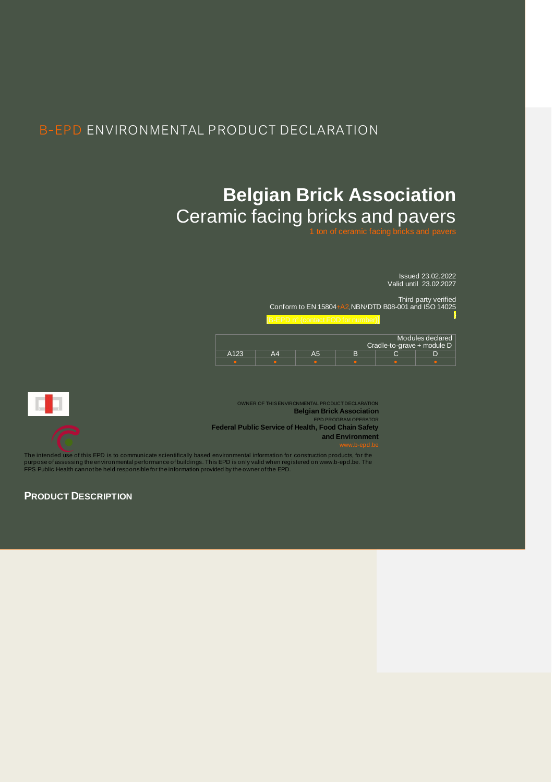## B-EPD ENVIRONMENTAL PRODUCT DECLARATION

# **Belgian Brick Association** Ceramic facing bricks and pavers

Issued 23.02.2022 Valid until 23.02.2027

Third party verified Conform to EN 15804+A2, NBN/DTD B08-001 and ISO 14025 }

|      |    |   |                            | Modules declared |
|------|----|---|----------------------------|------------------|
|      |    |   | Cradle-to-grave + module D |                  |
| A123 | Α5 | P |                            |                  |
|      |    |   |                            |                  |



OWNER OF THIS ENVIRONMENTAL PRODUCT DECLARATION **Belgian Brick Association** EPD PRO **Federal Public Service of Health, Food Chain Safety and Environment**

The intended use of this EPD is to communicate scientifically based environmental information for construction products, for the<br>purpose of assessing the environmental performance of buildings. This EPD is only valid when

**PRODUCT DESCRIPTION**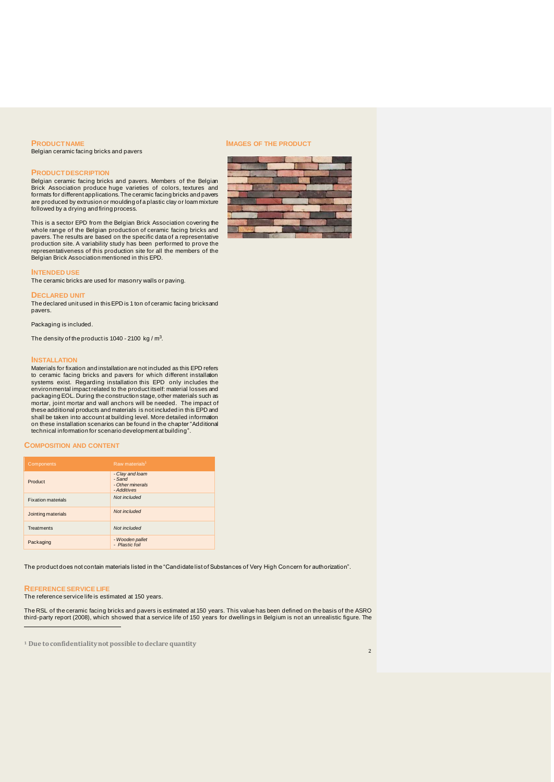#### **PRODUCT NAME**

Belgian ceramic facing bricks and pavers

#### **PRODUCT DESCRIPTION**

Belgian ceramic facing bricks and pavers. Members of the Belgian Brick Association produce huge varieties of colors, textures and formats for different applications. The ceramic facing bricks and pavers are produced by extrusion or moulding of a plastic clay or loam mixture followed by a drying and firing process.

This is a sector EPD from the Belgian Brick Association covering the whole range of the Belgian production of ceramic facing bricks and pavers. The results are based on the specific data of a representative production site. A variability study has been performed to prove the representativeness of this production site for all the members of the Belgian Brick Association mentioned in this EPD.

**INTENDED USE** The ceramic bricks are used for masonry walls or paving.

#### **DECLARED UNIT**

The declared unit used in this EPD is 1 ton of ceramic facing bricksand pavers.

Packaging is included.

The density of the product is 1040 - 2100  $kg/m<sup>3</sup>$ .

#### **INSTALLATION**

Materials for fixation and installation are not included as this EPD refers to ceramic facing bricks and pavers for which different installation systems exist. Regarding installation this EPD only includes the environmental impact related to the product itself: material losses and packaging EOL. During the construction stage, other materials such as mortar, joint mortar and wall anchors will be needed. The impact of these additional products and materials is not included in this EPD and shall be taken into account at building level. More detailed information on these installation scenarios can be found in the chapter "Additional technical information for scenario development at building".

#### **COMPOSITION AND CONTENT**

| Components                | Raw materials <sup>1</sup>                                   |
|---------------------------|--------------------------------------------------------------|
| Product                   | - Clay and loam<br>- Sand<br>- Other minerals<br>- Additives |
| <b>Fixation materials</b> | Not included                                                 |
| Jointing materials        | Not included                                                 |
| <b>Treatments</b>         | Not included                                                 |
| Packaging                 | - Wooden pallet<br>- Plastic foil                            |

The product does not contain materials listed in the "Candidate list of Substances of Very High Concern for authorization".

#### **REFERENCE SERVICE LIFE**

The reference service life is estimated at 150 years.

The RSL of the ceramic facing bricks and pavers is estimated at 150 years. This value has been defined on the basis of the ASRO third-party report (2008), which showed that a service life of 150 years for dwellings in Belgium is not an unrealistic figure. The

**<sup>1</sup> Due to confidentiality not possible to declare quantity**

#### **IMAGES OF THE PRODUCT**

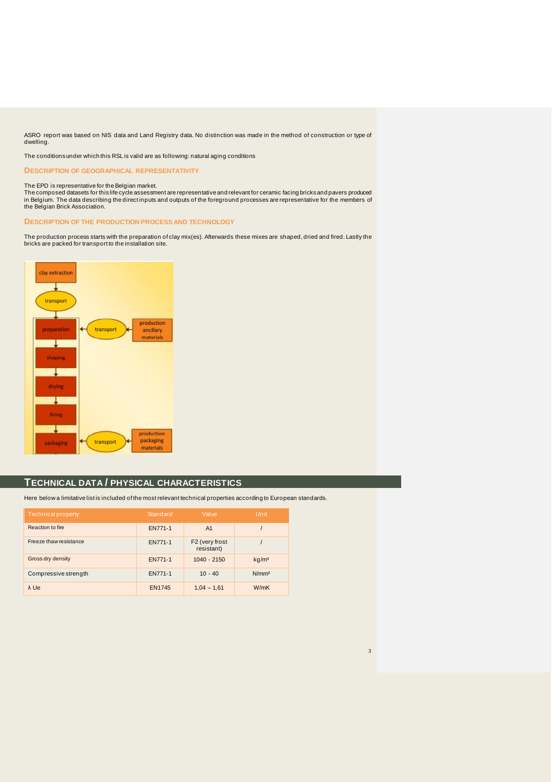ASRO report was based on NIS data and Land Registry data. No distinction was made in the method of construction or type of dwelling.

The conditions under which this RSL is valid are as following: natural aging conditions

**DESCRIPTION OF GEOGRAPHICAL REPRESENTATIVITY**

The EPD is representative for the Belgian market.<br>The composed datasets for this life cycle assessment are representative and relevant for ceramic facing bricks and pavers produced in Belgium. The data describing the direct inputs and outputs of the foreground processes are representative for the members of the Belgian Brick Association.

**DESCRIPTION OF THE PRODUCTION PROCESS AND TECHNOLOGY**

The production process starts with the preparation of clay mix(es). Afterwards these mixes are shaped, dried and fired. Lastly the bricks are packed for transport to the installation site.



#### **TECHNICAL DATA / PHYSICAL CHARACTERISTICS**

Here below a limitative list is included of the most relevant technical properties according to European standards.

| Technical property     | Standard       | Value                        | Unit              |
|------------------------|----------------|------------------------------|-------------------|
| Reaction to fire       | <b>EN771-1</b> | A <sub>1</sub>               |                   |
| Freeze thaw resistance | EN771-1        | F2 (very frost<br>resistant) |                   |
| Gross dry density      | <b>EN771-1</b> | $1040 - 2150$                | kg/m <sup>3</sup> |
| Compressive strength   | EN771-1        | $10 - 40$                    | N/mm <sup>2</sup> |
| $\lambda$ Ue           | <b>EN1745</b>  | $1,04 - 1,61$                | W/mK              |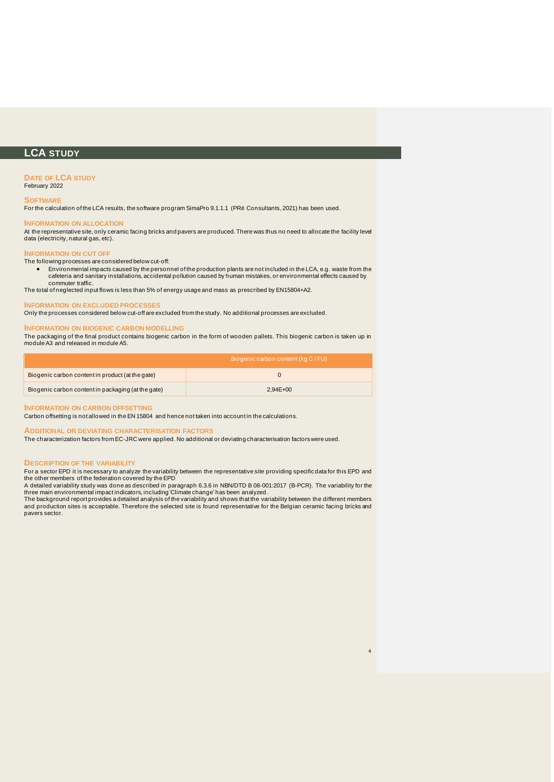### **LCA STUDY**

#### **DATE OF LCA STUDY**

February 2022

#### **SOFTWARE**

For the calculation of the LCA results, the software program SimaPro 9.1.1.1 (PRé Consultants, 2021) has been used.

#### **INFORMATION ON ALLOCATION**

At the representative site, only ceramic facing bricks and pavers are produced. There was thus no need to allocate the facility level data (electricity, natural gas, etc).

#### **INFORMATION ON CUT OFF**

#### The following processes are considered below cut-off:

• Environmental impacts caused by the personnel of the production plants are not included in the LCA, e.g. waste from the cafeteria and sanitary installations, accidental pollution caused by human mistakes, or environmental effects caused by commuter traffic.

The total of neglected input flows is less than 5% of energy usage and mass as prescribed by EN15804+A2.

#### **INFORMATION ON EXCLUDED PROCESSES**

Only the processes considered below cut-off are excluded from the study. No additional processes are excluded.

#### **INFORMATION ON BIOGENIC CARBON MODELLING**

The packaging of the final product contains biogenic carbon in the form of wooden pallets. This biogenic carbon is taken up in module A3 and released in module A5.

|                                                    | Biogenic carbon content (kg C/FU) |
|----------------------------------------------------|-----------------------------------|
| Biogenic carbon content in product (at the gate)   |                                   |
| Biogenic carbon content in packaging (at the gate) | $2.94E + 00$                      |

#### **INFORMATION ON CARBON OFFSETTING**

Carbon offsetting is not allowed in the EN 15804 and hence not taken into account in the calculations.

#### **ADDITIONAL OR DEVIATING CHARACTERISATION FACTORS**

The characterization factors from EC-JRC were applied. No additional or deviating characterisation factors were used.

#### **DESCRIPTION OF THE VARIABILITY**

For a sector EPD it is necessary to analyze the variability between the representative site providing specific data for this EPD and the other members of the federation covered by the EPD

A detailed variability study was done as described in paragraph 6.3.6 in NBN/DTD B 08-001:2017 (B-PCR). The variability for the three main environmental impact indicators, including 'Climate change'has been analyzed. The background report provides a detailed analysis of the variability and shows that the variability between the different members

and production sites is acceptable. Therefore the selected site is found representative for the Belgian ceramic facing bricks and pavers sector.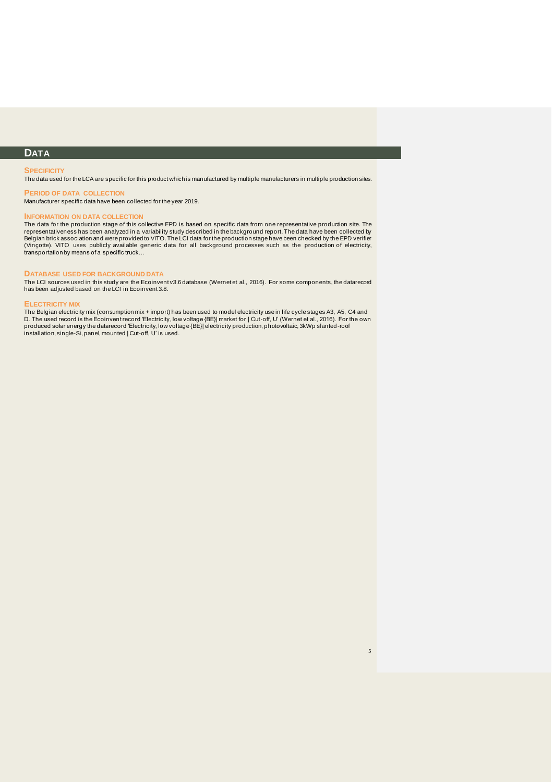### **DATA**

#### **SPECIFICITY**

The data used for the LCA are specific for this product which is manufactured by multiple manufacturers in multiple production sites.

#### **PERIOD OF DATA COLLECTION** Manufacturer specific data have been collected for the year 2019.

#### **INFORMATION ON DATA COLLECTION**

The data for the production stage of this collective EPD is based on specific data from one representative production site. The representativeness has been analyzed in a variability study described in the background report. The data have been collected by<br>Belgian brick association and were provided to VITO. The LCI data for the production stage hav transportation by means of a specific truck…

#### **DATABASE USED FOR BACKGROUND DATA**

The LCI sources used in this study are the Ecoinvent v3.6 database (Wernet et al., 2016). For some components, the datarecord has been adjusted based on the LCI in Ecoinvent 3.8.

#### **ELECTRICITY MIX**

The Belgian electricity mix (consumption mix + import) has been used to model electricity use in life cycle stages A3, A5, C4 and<br>D. The used record is the Ecoinvent record 'Electricity, low voltage {BE}| market for | Cut-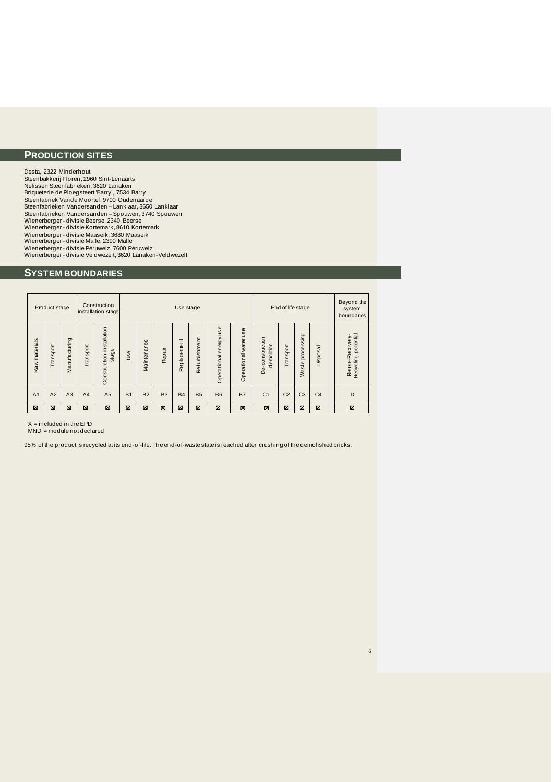### **PRODUCTION SITES**

Desta, 2322 Minderhout Steenbakkerij Floren, 2960 Sint-Lenaarts Nelissen Steenfabrieken, 3620 Lanaken Briqueterie de Ploegsteert 'Barry', 7534 Barry<br>Steenfabriek Vande Moortel, 9700 Oudenaarde<br>Steenfabrieken Vandersanden – Lanklaar, 3650 Lanklaar<br>Steenfabrieken Vandersanden – Spouwen, 3740 Spouwen Wienerberger - divisie Beerse, 2340 Beerse<br>Wienerberger - divisie Kortemark, 8610 Kortemark<br>Wienerberger - divisie Malle, 2390 Malle<br>Wienerberger - divisie Péruwelz, 7600 Péruwelz<br>Wienerberger - divisie Péruwelz, 7600 Péru Wienerberger - divisie Veldwezelt, 3620 Lanaken-Veldwezelt

### **SYSTEM BOUNDARIES**

|                | Product stage  |               |                | Construction<br>installation stage    |            | End of life stage<br>Use stage                                                                                                        |        |             |               |                        |                       |                               |           |                                |                     | Beyond the<br>system<br>boundaries    |
|----------------|----------------|---------------|----------------|---------------------------------------|------------|---------------------------------------------------------------------------------------------------------------------------------------|--------|-------------|---------------|------------------------|-----------------------|-------------------------------|-----------|--------------------------------|---------------------|---------------------------------------|
| Raw materials  | Transport      | Manufacturing | Transport      | installation<br>stage<br>Construction | <b>Use</b> | Maintenance                                                                                                                           | Repair | Replacement | Refurbishment | Operational energy use | Operational water use | De-construction<br>demolition | Transport | pocessing<br>$\Omega$<br>Waste | –<br><b>Disposa</b> | Reuse-Recovery-<br>Recyding-potential |
| A <sub>1</sub> | A <sub>2</sub> | A3            | A <sub>4</sub> | A <sub>5</sub>                        | <b>B1</b>  | C <sub>2</sub><br>C <sub>3</sub><br>C <sub>1</sub><br>B <sub>2</sub><br><b>B3</b><br><b>B4</b><br><b>B5</b><br><b>B6</b><br><b>B7</b> |        |             |               |                        |                       |                               |           | C <sub>4</sub>                 | D                   |                                       |
| ⊠              | ⊠              | ⊠             | ⊠              | ×                                     | ⊠          | ⊠                                                                                                                                     | ×      | ⊠           | ⊠             | ⊠                      | ⊠                     | ⊠                             | ⊠         | ⊠                              | ⊠                   | ⊠                                     |

 $X =$  included in the EPD

MND = module not declared

95% of the product is recycled at its end-of-life. The end-of-waste state is reached after crushing of the demolished bricks.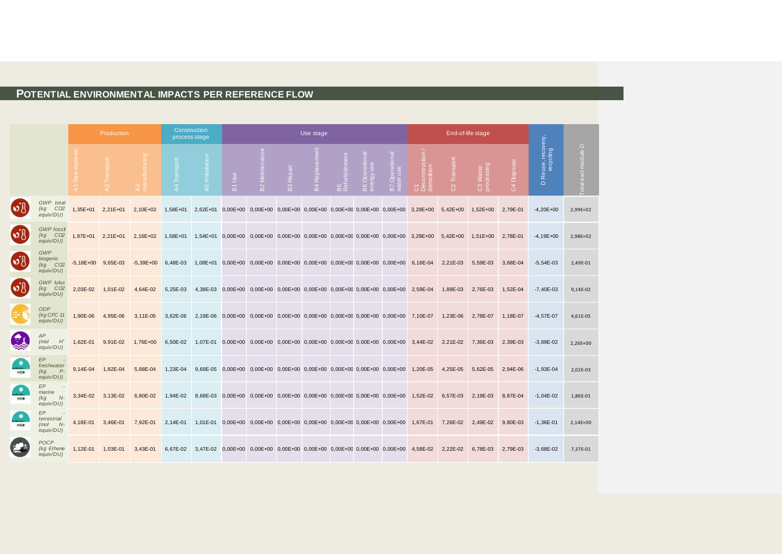### **POTENTIAL ENVIRONMENTAL IMPACTS PER REFERENCE FLOW**

€

|        | Production                                      |                      | Construction<br>process stage |             |                 |                 |        | Use stage                                                                        |                  |          |                   |                              |                            | End-of-life stage |                |                        |                                |                                         |                             |
|--------|-------------------------------------------------|----------------------|-------------------------------|-------------|-----------------|-----------------|--------|----------------------------------------------------------------------------------|------------------|----------|-------------------|------------------------------|----------------------------|-------------------|----------------|------------------------|--------------------------------|-----------------------------------------|-----------------------------|
|        |                                                 | Raw                  |                               |             | Transport<br>A4 | A5 Installation | B1 Use | <b>B2</b> Mainten                                                                | <b>B3</b> Repair | B4 Repla | B5<br>Refurbishme | B6 Operational<br>energy use | B7 Operational<br>wateruse | struction<br>580  | Transport<br>8 | C3 Waste<br>processing | isposal<br>ā<br>$\overline{c}$ | Reuse, recovery,<br>recycling<br>$\Box$ | $\Box$<br>Total excl module |
|        | GWP total<br>CO2<br>(kg<br>equiv/DU)            | 1,35E+01 2,21E+01    |                               | 2,10E+02    | 1,58E+01        |                 |        | 2,62E+01 0,00E+00 0,00E+00 0,00E+00 0,00E+00 0,00E+00 0,00E+00 0,00E+00 3,29E+00 |                  |          |                   |                              |                            |                   | 5,42E+00       | 1,52E+00               | 2,79E-01                       | $-4,20E+00$                             | 2,99E+02                    |
| 5J     | <b>GWP</b> fossi<br>$(kg$ $CO2$<br>equiv/DU)    | $1.87E + 01$         | $2,21E+01$                    | 2,16E+02    | 1,58E+01        |                 |        | 1,54E+01  0,00E+00  0,00E+00  0,00E+00  0,00E+00  0,00E+00  0,00E+00  0,00E+00   |                  |          |                   |                              |                            | 3,29E+00          | $5,42E+00$     | $1,51E+00$             | 2,78E-01                       | $-4,19E+00$                             | 2,98E+02                    |
| י∫∂    | GWP<br>biogenic<br>$(kg$ $CO2$<br>equiv/DU)     | $-5,18E+00$ 9,65E-03 |                               | $-5,39E+00$ | 6,48E-03        |                 |        | 1,08E+01 0,00E+00 0,00E+00 0,00E+00 0,00E+00 0,00E+00 0,00E+00 0,00E+00          |                  |          |                   |                              |                            | 6,16E-04          | 2,21E-03       | 5,59E-03               | 3,68E-04                       | $-5,54E-03$                             | 2,49E-01                    |
| 5J     | <b>GWP</b> luluc<br>$(kg$ $CO2$<br>equiv/DU)    | 2,03E-02             | 1,01E-02                      | 4,64E-02    | 5,25E-03        | 4,38E-03        |        | $0,00E+00$ $0,00E+00$ $0,00E+00$ $0,00E+00$ $0,00E+00$ $0,00E+00$ $0,00E+00$     |                  |          |                   |                              |                            | 2,59E-04          | 1,89E-03       | 2,76E-03               | 1,52E-04                       | $-7,40E-03$                             | 9,14E-02                    |
|        | <b>ODP</b><br>(kg CFC 11<br>equiv/DU)           | 1,90E-06             | 4,95E-06                      | 3,11E-05    | 3,62E-06        | 2,19E-06        |        | 0,00E+00 0,00E+00 0,00E+00 0,00E+00 0,00E+00 0,00E+00 0,00E+00 7,10E-07          |                  |          |                   |                              |                            |                   | 1,23E-06       | 2,78E-07               | 1,18E-07                       | $-4,57E-07$                             | 4,61E-05                    |
|        | AP<br>(mol)<br>$H^*$<br>equiv/DU)               | 1,62E-01             | 9,91E-02                      | 1,76E+00    | 6,50E-02        | 1,07E-01        |        | 0,00E+00 0,00E+00 0,00E+00 0,00E+00 0,00E+00 0,00E+00 0,00E+00 3,44E-02          |                  |          |                   |                              |                            |                   | 2,21E-02       | 7,36E-03               | 2,39E-03                       | $-3,89E-02$                             | 2,26E+00                    |
| ۰<br>H | EP<br>freshwater<br>$P-$<br>(kg)<br>equiv/DU)   | 9,14E-04             | 1,82E-04                      | 5.88E-04    | 1.23E-04        | $9.69E-05$      |        | 0,00E+00 0,00E+00 0,00E+00 0,00E+00 0,00E+00 0,00E+00 0,00E+00                   |                  |          |                   |                              |                            | 1,20E-05          | 4,25E-05       | 5,62E-05               | 2,94E-06                       | $-1,93E-04$                             | 2,02E-03                    |
| ۰<br>- | EP<br>marine<br>(kg<br>$N-$<br>equiv/DU)        | 3,34E-02             | 3,13E-02                      | 6,80E-02    | 1,94E-02        | 8,68E-03        |        | $0,00E+00$ $0,00E+00$ $0,00E+00$ $0,00E+00$ $0,00E+00$ $0,00E+00$ $0,00E+00$     |                  |          |                   |                              |                            | 1,52E-02          | 6,57E-03       | 2,19E-03               | 8,87E-04                       | $-1,04E-02$                             | 1,86E-01                    |
| ₩<br>H | EP<br>terrestrial<br>$N-$<br>(mol)<br>equiv/DU) | 4,18E-01             | 3,46E-01                      | 7,92E-01    | 2,14E-01        | $1.01E - 01$    |        | 0,00E+00 0,00E+00 0,00E+00 0,00E+00 0,00E+00 0,00E+00 0,00E+00                   |                  |          |                   |                              |                            | 1,67E-01          | 7,26E-02       | 2,49E-02               | 9.80E-03                       | $-1,36E-01$                             | 2,14E+00                    |
|        | POCP<br>(kg Ethene<br>equiv/DU)                 | 1,12E-01             | 1,03E-01                      | 3,43E-01    | 6,67E-02        |                 |        | 3,47E-02 0,00E+00 0,00E+00 0,00E+00 0,00E+00 0,00E+00 0,00E+00 0,00E+00          |                  |          |                   |                              |                            | 4,58E-02          | 2,22E-02       | 6,78E-03               | 2,79E-03                       | $-3,68E-02$                             | 7,37E-01                    |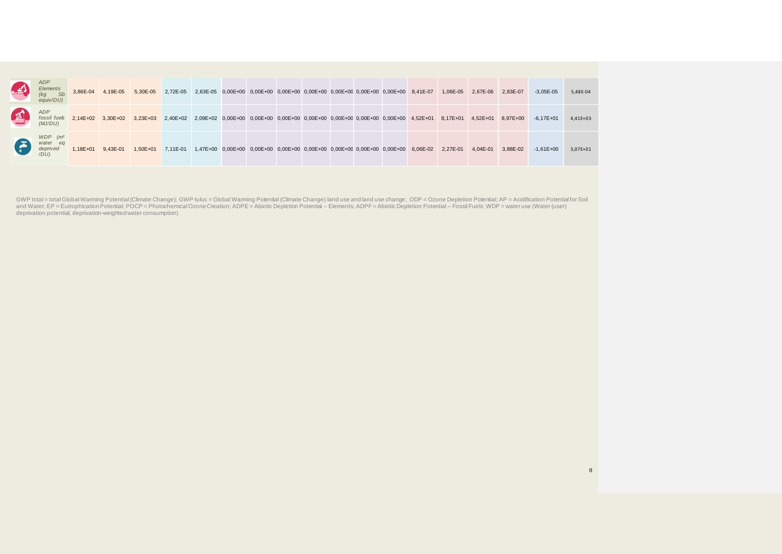| 42. | <b>ADP</b><br>Elements<br>(kg)<br><b>Sb</b><br>equiv/DU) | 3,86E-04     | 4,19E-05          | 5,30E-05                                                                                                    | 2,72E-05 |  | 2,63E-05 0,00E+00 0,00E+00 0,00E+00 0,00E+00 0,00E+00 0,00E+00 0,00E+00 8,41E-07 |  |  |                                                                                           | 1,06E-05 | 2,67E-06     | 2,83E-07 | $-3,05E-05$   | 5,48E-04 |
|-----|----------------------------------------------------------|--------------|-------------------|-------------------------------------------------------------------------------------------------------------|----------|--|----------------------------------------------------------------------------------|--|--|-------------------------------------------------------------------------------------------|----------|--------------|----------|---------------|----------|
| 14  | ADP<br>fossil fuels<br>(MJ/DU)                           |              | 2,14E+02 3,30E+02 | 3,23E+03 2,40E+02 2,09E+02 0,00E+00 0,00E+00 0,00E+00 0,00E+00 0,00E+00 0,00E+00 0,00E+00 4,52E+01 8,17E+01 |          |  |                                                                                  |  |  |                                                                                           |          | $4.52E + 01$ | 8.97E+00 | $-6.17E + 01$ | 4,41E+03 |
| G   | $WDP$ $(m3)$<br>water eq<br>deprived<br>/DU)             | $1.18E + 01$ | 9,43E-01          | 1,50E+01 7,11E-01                                                                                           |          |  |                                                                                  |  |  | 1,47E+00 0,00E+00 0,00E+00 0,00E+00 0,00E+00 0,00E+00 0,00E+00 0,00E+00 6,06E-02 2,27E-01 |          | 4.04E-01     | 3.88E-02 | $-1.61E + 00$ | 3,07E+01 |

GWP total = total Global Warming Potential (Climate Change); GWP-luluc = Global Warming Potential (Climate Change) land use and land use change; ODP = Ozone Depletion Potential; AP = Acidification Potential for Soil<br>and W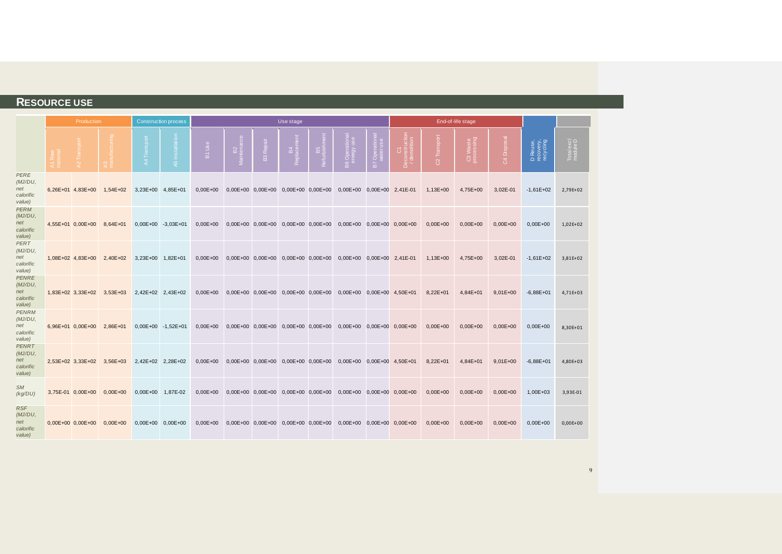### **RESOURCE USE**

|                                                       | Production          |              |                    | <b>Construction process</b> |                       |                       | Use stage                                   |                 |                                                                              |                     |              | End-of-life stage      |                    |                                    |                        |
|-------------------------------------------------------|---------------------|--------------|--------------------|-----------------------------|-----------------------|-----------------------|---------------------------------------------|-----------------|------------------------------------------------------------------------------|---------------------|--------------|------------------------|--------------------|------------------------------------|------------------------|
|                                                       |                     |              |                    |                             | Use<br>$\overline{m}$ | Repai<br>$\mathbb{E}$ | $rac{4}{100}$                               | B5<br>Refurbish | $\circ$ =<br>മ്                                                              | Opel<br>Mateu<br>m. | 81           | C3 Waste<br>processing | ه<br>$\mathcal{L}$ | D Reuse,<br>recovery,<br>recycling | Total excl<br>module D |
| <b>PERE</b><br>(MJ/DU,<br>net<br>calorific<br>value)  | 6,26E+01 4,83E+00   | $1,54E+02$   | 3,23E+00 4,85E+01  |                             | $0,00E + 00$          |                       |                                             |                 | 0,00E+00 0,00E+00 0,00E+00 0,00E+00 0,00E+00 0,00E+00 2,41E-01               |                     | 1,13E+00     | 4,75E+00               | 3,02E-01           | $-1,61E+02$                        | 2,79E+02               |
| <b>PERM</b><br>(MJ/DU,<br>net<br>calorific<br>value)  | 4,55E+01 0,00E+00   | 8,64E+01     | 0,00E+00 -3,03E+01 |                             | $0,00E + 00$          |                       |                                             |                 | 0,00E+00 0,00E+00 0,00E+00 0,00E+00 0,00E+00 0,00E+00 0,00E+00               |                     | $0,00E + 00$ | $0,00E+00$             | $0,00E+00$         | $0,00E+00$                         | 1,02E+02               |
| PERT<br>(MJ/DU,<br>net<br>calorific<br>value)         | 1,08E+02 4,83E+00   | 2,40E+02     | 3,23E+00 1,82E+01  |                             | $0.00E + 00$          |                       | $0,00E+00$ $0,00E+00$ $0,00E+00$ $0,00E+00$ |                 | 0,00E+00 0,00E+00 2,41E-01                                                   |                     | 1,13E+00     | 4,75E+00               | 3,02E-01           | $-1,61E+02$                        | 3,81E+02               |
| <b>PENRE</b><br>(MJ/DU,<br>net<br>calorific<br>value) | 1,83E+02 3,33E+02   | $3,53E+03$   | 2,42E+02 2,43E+02  |                             | $0,00E + 00$          |                       |                                             |                 | 0,00E+00 0,00E+00 0,00E+00 0,00E+00 0,00E+00 0,00E+00 4,50E+01               |                     | $8,22E+01$   | 4,84E+01               | $9,01E+00$         | $-6,88E+01$                        | 4,71E+03               |
| <b>PENRM</b><br>(MJ/DU,<br>net<br>calorific<br>value) | 6,96E+01 0,00E+00   | 2,86E+01     | 0,00E+00 -1,52E+01 |                             | $0,00E + 00$          |                       |                                             |                 | $0,00E+00$ $0,00E+00$ $0,00E+00$ $0,00E+00$ $0,00E+00$ $0,00E+00$ $0,00E+00$ |                     | $0,00E+00$   | $0,00E+00$             | $0,00E+00$         | $0,00E+00$                         | 8,30E+01               |
| <b>PENRT</b><br>(MJ/DU,<br>net<br>calorific<br>value) | 2,53E+02 3,33E+02   | $3,56E+03$   | 2,42E+02 2,28E+02  |                             | $0,00E + 00$          |                       |                                             |                 | 0,00E+00 0,00E+00 0,00E+00 0,00E+00 0,00E+00 0,00E+00 4,50E+01               |                     | $8,22E+01$   | 4,84E+01               | $9,01E+00$         | $-6,88E+01$                        | 4,80E+03               |
| <b>SM</b><br>(kg/DU)                                  | 3,75E-01 0,00E+00   | $0,00E + 00$ | $0,00E+00$         | 1,87E-02                    | $0,00E+00$            |                       |                                             |                 | 0,00E+00 0,00E+00 0,00E+00 0,00E+00 0,00E+00 0,00E+00 0,00E+00               |                     | $0,00E+00$   | $0,00E+00$             | $0,00E+00$         | 1,00E+03                           | 3,93E-01               |
| <b>RSF</b><br>(MJ/DU,<br>net<br>calorific<br>value)   | $0,00E+00$ 0,00E+00 | $0,00E + 00$ | 0,00E+00 0,00E+00  |                             | $0,00E + 00$          |                       |                                             |                 | $0,00E+00$ $0,00E+00$ $0,00E+00$ $0,00E+00$ $0,00E+00$ $0,00E+00$ $0,00E+00$ |                     | $0,00E+00$   | $0,00E+00$             | $0,00E+00$         | $0,00E+00$                         | $0,00E+00$             |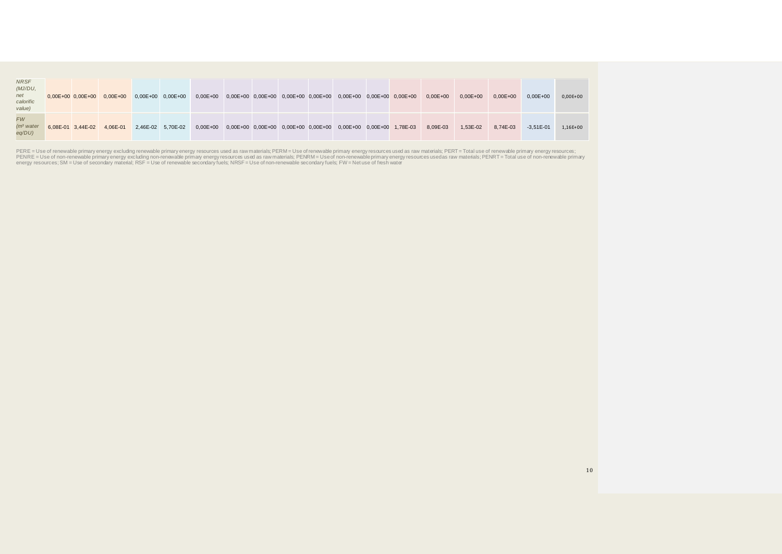| <b>NRSF</b><br>(MJ/DU,<br>net<br>calorific<br>value) |                   | $0,00E+00$ $0,00E+00$ $0,00E+00$ | $0,00E+00$ $0,00E+00$ |  |  |                                                                         | $0,00E+00$ $0,00E+00$ $0,00E+00$ $0,00E+00$ $0,00E+00$ $0,00E+00$ $0,00E+00$ $0,00E+00$ | $0,00E + 00$ | $0.00E + 00$ | $0.00E + 00$ | $0.00E + 00$  | $0,00E+00$ |
|------------------------------------------------------|-------------------|----------------------------------|-----------------------|--|--|-------------------------------------------------------------------------|-----------------------------------------------------------------------------------------|--------------|--------------|--------------|---------------|------------|
| <b>FW</b><br>(m <sup>3</sup> water)<br>$eq/DU$ )     | 6,08E-01 3,44E-02 | 4,06E-01                         | 2,46E-02 5,70E-02     |  |  | 0,00E+00 0,00E+00 0,00E+00 0,00E+00 0,00E+00 0,00E+00 0,00E+00 1,78E-03 |                                                                                         | 8.09E-03     | 1.53E-02     | 8.74E-03     | $-3.51E - 01$ | 1,16E+00   |

PERE = Use of renewable primary energy excluding renewable primary energy resources used as raw materials; PERM = Use of renewable primary energy resources are also as awen about the state and the state and the state and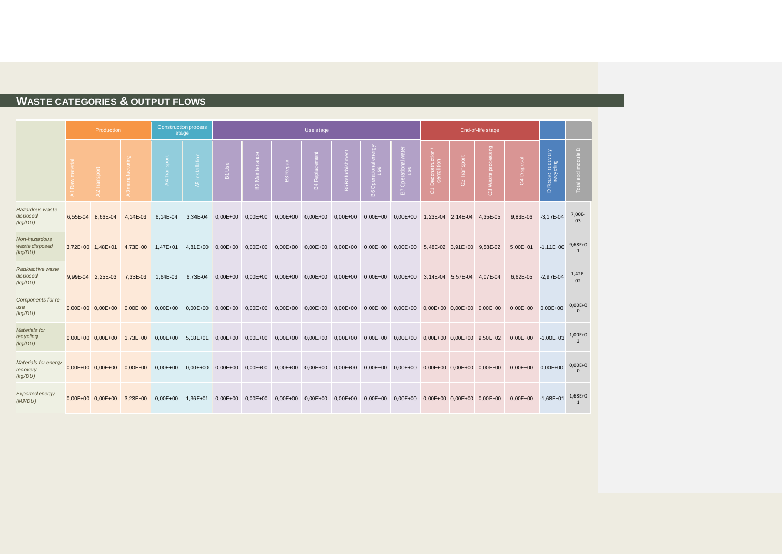### **WASTE CATEGORIES & OUTPUT FLOWS**

|                                             | <b>Construction process</b><br>Production<br>stage |              |              |              |                                                   |                 |                                  | Use stage                  |                     |                                          |                                              |                                                 |                | End-of-life stage         |                           |                                         |                             |
|---------------------------------------------|----------------------------------------------------|--------------|--------------|--------------|---------------------------------------------------|-----------------|----------------------------------|----------------------------|---------------------|------------------------------------------|----------------------------------------------|-------------------------------------------------|----------------|---------------------------|---------------------------|-----------------------------------------|-----------------------------|
|                                             |                                                    |              |              | A5 Installat | <b>USe</b><br>$\overleftarrow{\underline{\bf n}}$ | 32 Maint enance | <b>B3</b> Repair                 | õ<br>묖                     | Refurbishment<br>B5 | ම<br>ational<br>use<br>B <sub>6</sub> Or | $\Omega$<br>$\overline{a}$                   | Deconstrut<br>demolition<br>$\overline{\sigma}$ | Transport<br>8 | ၉.<br>ā.<br>$\mathcal{B}$ | Disposal<br>$\mathcal{R}$ | Reuse, recovery,<br>recycling<br>$\Box$ | $\Box$<br>Total excl module |
| Hazardous waste<br>disposed<br>(kg/DU)      | 6.55E-04 8.66E-04                                  | 4.14E-03     | 6.14E-04     | 3.34E-04     | $0,00E + 00$                                      | $0,00E + 00$    |                                  | 0,00E+00 0,00E+00 0,00E+00 |                     | $0,00E + 00$                             | $0,00E + 00$                                 | 1,23E-04 2,14E-04                               |                | 4.35E-05                  | 9.83E-06                  | $-3.17E - 04$                           | 7,00E-<br>03                |
| Non-hazardous<br>waste disposed<br>(kq/DU)  | 3.72E+00 1.48E+01                                  | $4.73E + 00$ | 1,47E+01     | 4,81E+00     | $0,00E+00$                                        | $0,00E + 00$    |                                  | $0,00E+00$ $0,00E+00$      | $0,00E + 00$        |                                          | $0,00E+00$ $0,00E+00$                        | 5,48E-02 3,91E+00 9,58E-02                      |                |                           | $5,00E+01$                | $-1.11E+00$                             | $9,68E+0$<br>$\mathbf{1}$   |
| Radioactive waste<br>disposed<br>(kg/DU)    | 9.99E-04 2.25E-03                                  | 7,33E-03     | 1,64E-03     | 6,73E-04     | $0,00E+00$                                        | $0,00E+00$      | $0,00E+00$ $0,00E+00$            |                            | $0,00E+00$          |                                          | $0,00E+00$ $0,00E+00$                        | 3,14E-04 5,57E-04                               |                | 4,07E-04                  | 6,62E-05                  | $-2,97E-04$                             | 1,42E-<br>02                |
| Components for re-<br>use<br>(kg/DU)        | $0.00E + 00$ $0.00E + 00$                          | $0,00E + 00$ | $0,00E + 00$ | $0,00E + 00$ | $0,00E+00$ $0,00E+00$                             |                 | $0,00E+00$ $0,00E+00$            |                            | $0,00E + 00$        |                                          | 0,00E+00 0,00E+00                            | 0,00E+00 0,00E+00 0,00E+00                      |                |                           | $0,00E + 00$              | $0.00E + 00$                            | $0,00E+0$                   |
| Materials for<br>recycling<br>(kg/DU)       | $0.00E+00$ $0.00E+00$ $1.73E+00$                   |              | $0.00E + 00$ | $5.18E + 01$ | $0,00E+00$ $0,00E+00$                             |                 | $0,00E+00$ $0,00E+00$ $0,00E+00$ |                            |                     |                                          | 0,00E+00 0,00E+00 0,00E+00 0,00E+00 9,50E+02 |                                                 |                |                           | $0.00E+00$ -1.00E+03      |                                         | $1,00E+0$<br>$\mathbf{R}$   |
| Materials for energy<br>recovery<br>(kq/DU) | $0.00E + 00$ $0.00E + 00$                          | $0.00E + 00$ | $0.00E + 00$ | $0.00E + 00$ | $0,00E + 00$                                      | $0,00E + 00$    | $0,00E + 00$                     | $0,00E+00$                 | $0,00E + 00$        |                                          | $0,00E+00$ $0,00E+00$                        | 0,00E+00 0,00E+00 0,00E+00                      |                |                           | $0.00E+00$ $0.00E+00$     |                                         | $0,00E + 0$<br>$\Omega$     |
| <b>Exported energy</b><br>(MJ/DU)           | $0,00E+00$ $0,00E+00$                              | $3,23E+00$   | $0,00E+00$   | 1,36E+01     | $0,00E + 00$                                      | $0,00E + 00$    |                                  | $0,00E+00$ $0,00E+00$      | $0,00E + 00$        |                                          | $0,00E+00$ $0,00E+00$                        | $0,00E+00$ $0,00E+00$ $0,00E+00$                |                |                           | $0,00E+00$ -1,68E+01      |                                         | $1,68E+0$<br>1              |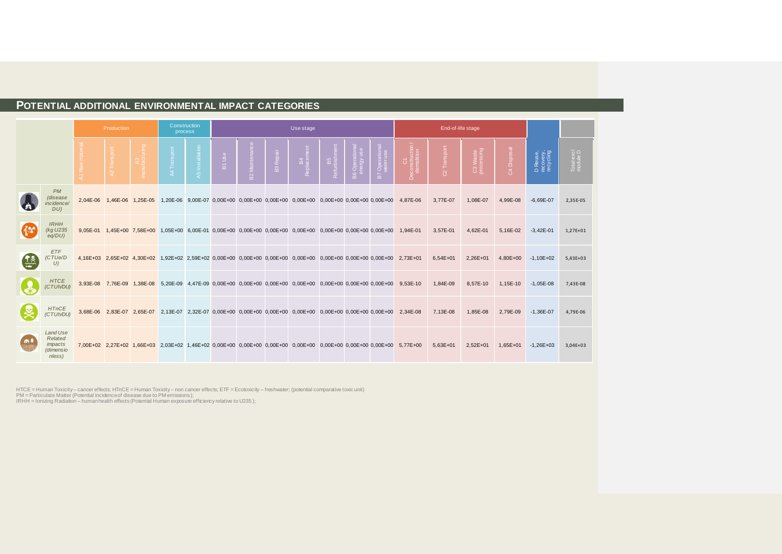### **POTENTIAL ADDITIONAL ENVIRONMENTAL IMPACT CATEGORIES**

|               |                                                       | Production     |                            | Construction<br>process |                 |                                  |             |                 | Use stage                                                                                                            |                             |                    |                            |                                                                                                                      | End-of-life stage |                        |                                 |                                    |                        |
|---------------|-------------------------------------------------------|----------------|----------------------------|-------------------------|-----------------|----------------------------------|-------------|-----------------|----------------------------------------------------------------------------------------------------------------------|-----------------------------|--------------------|----------------------------|----------------------------------------------------------------------------------------------------------------------|-------------------|------------------------|---------------------------------|------------------------------------|------------------------|
|               |                                                       | $\mathfrak{A}$ | A3<br>facturing            | A4 Transport            | A5 Installation | S <sub>e</sub><br>$\overline{a}$ | B2 Maintena | <b>B3</b> Repai | Repl                                                                                                                 | n<br>Refurbish<br>Refurbish | B6 Opera<br>energy | B7 Operationa<br>water use | — C1<br>Deconstruction<br>demolition                                                                                 | Transport         | C3 Waste<br>processing | <b>Disposa</b><br>$\mathcal{L}$ | D Reuse,<br>recovery,<br>recycling | Total excl<br>module D |
|               | PM<br>(disease<br>incidence/<br>DU                    |                | 2.04E-06 1.46E-06 1.25E-05 |                         |                 |                                  |             |                 | 1,20E-06 9,00E-07 0,00E+00 0,00E+00 0,00E+00 0,00E+00 0,00E+00 0,00E+00 0,00E+00 4,87E-06                            |                             |                    |                            |                                                                                                                      | 3,77E-07          | 1,08E-07               | 4,99E-08                        | $-6,69E-07$                        | 2,35E-05               |
|               | <b>IRHH</b><br>(kg U235<br>$eq/DU$ )                  |                |                            |                         |                 |                                  |             |                 | 9,05E-01 1,45E+00 7,58E+00 1,05E+00 6,00E-01 0,00E+00 0,00E+00 0,00E+00 0,00E+00 0,00E+00 0,00E+00 0,00E+00 1,94E-01 |                             |                    |                            |                                                                                                                      | 3,57E-01          | 4,62E-01               | 5,16E-02                        | $-3,42E-01$                        | 1,27E+01               |
| $\frac{1}{2}$ | ETF<br>(CTUe/D<br>U                                   |                |                            |                         |                 |                                  |             |                 | 4,16E+03 2,65E+02 4,30E+02 1,92E+02 2,59E+02 0,00E+00 0,00E+00 0,00E+00 0,00E+00 0,00E+00 0,00E+00 0,00E+00 2,73E+01 |                             |                    |                            |                                                                                                                      | $6,54E+01$        | 2,26E+01               | 4,80E+00                        | $-1,10E+02$                        | $5,43E+03$             |
|               | <b>HTCE</b><br>(CTUh/DU)                              |                |                            |                         |                 |                                  |             |                 | 3,93E-08 7,76E-09 1,38E-08 5,20E-09 4,47E-09 0,00E+00 0,00E+00 0,00E+00 0,00E+00 0,00E+00 0,00E+00 0,00E+00 9,53E-10 |                             |                    |                            |                                                                                                                      | 1,84E-09          | 8,57E-10               | 1,15E-10                        | $-1,05E-08$                        | 7,43E-08               |
|               | <b>HTnCE</b><br>(CTUh/DU)                             |                |                            |                         |                 |                                  |             |                 | 3,68E-06 2,83E-07 2,65E-07 2,13E-07 2,32E-07 0,00E+00 0,00E+00 0,00E+00 0,00E+00 0,00E+00 0,00E+00 0,00E+00 2,34E-08 |                             |                    |                            |                                                                                                                      | 7,13E-08          | 1,85E-08               | 2,79E-09                        | $-1,36E-07$                        | 4,79E-06               |
| <b>A</b>      | Land Use<br>Related<br>impacts<br>(dimensio<br>nless) |                |                            |                         |                 |                                  |             |                 |                                                                                                                      |                             |                    |                            | 7,00E+02 2,27E+02 1,66E+03 2,03E+02 1,46E+02 0,00E+00 0,00E+00 0,00E+00 0,00E+00 0,00E+00 0,00E+00 0,00E+00 5,77E+00 | $5,63E+01$        | 2,52E+01               | $1,65E+01$                      | $-1,26E+03$                        | $3,04E+03$             |

HTCE = Human Toxicity – cancer effects; HTnCE = Human Toxicity – non cancer effects; ETF = Ecotoxicity – freshwater; (potential comparative toxic unit)<br>PM = Particulate Matter (Potential incidence of disease due to PM emi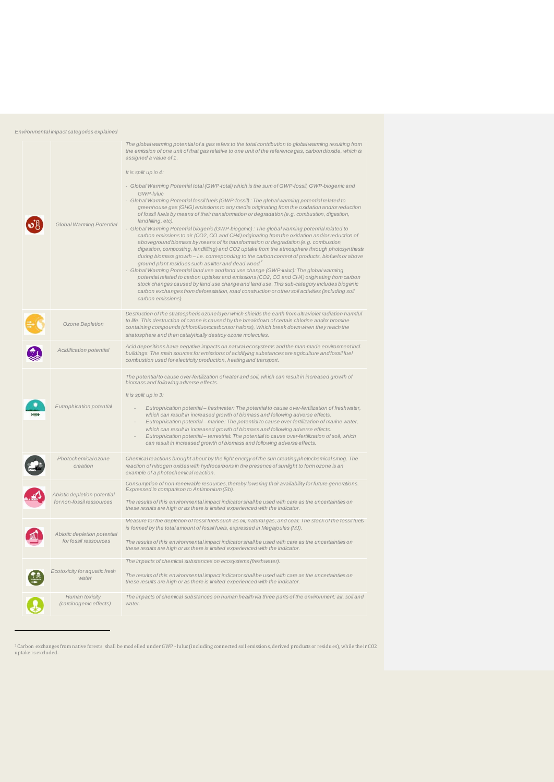| Environmental impact categories explained |  |  |
|-------------------------------------------|--|--|
|                                           |  |  |

| Global Warming Potential                                 | The global warming potential of a gas refers to the total contribution to global warming resulting from<br>the emission of one unit of that gas relative to one unit of the reference gas, carbon dioxide, which is<br>assigned a value of 1.<br>It is split up in 4:<br>- Global Warming Potential total (GWP-total) which is the sum of GWP-fossil, GWP-biogenic and<br>GWP-luluc<br>- Global Warming Potential fossil fuels (GWP-fossil): The global warming potential related to<br>greenhouse gas (GHG) emissions to any media originating from the oxidation and/or reduction<br>of fossil fuels by means of their transformation or degradation (e.g. combustion, digestion,<br>landfilling, etc).<br>- Global Warming Potential biogenic (GWP-biogenic): The global warming potential related to<br>carbon emissions to air (CO2, CO and CH4) originating from the oxidation and/or reduction of<br>aboveground biomass by means of its transformation or degradation (e.g. combustion,<br>digestion, composting, landfilling) and CO2 uptake from the atmosphere through photosynthesis<br>during biomass growth - i.e. corresponding to the carbon content of products, biofuels or above<br>ground plant residues such as litter and dead wood. <sup>2</sup><br>- Global Warming Potential land use and land use change (GWP-luluc): The global warming<br>potential related to carbon uptakes and emissions (CO2, CO and CH4) originating from carbon<br>stock changes caused by land use change and land use. This sub-category includes biogenic<br>carbon exchanges from deforestation, road construction or other soil activities (including soil<br>carbon emissions). |
|----------------------------------------------------------|-----------------------------------------------------------------------------------------------------------------------------------------------------------------------------------------------------------------------------------------------------------------------------------------------------------------------------------------------------------------------------------------------------------------------------------------------------------------------------------------------------------------------------------------------------------------------------------------------------------------------------------------------------------------------------------------------------------------------------------------------------------------------------------------------------------------------------------------------------------------------------------------------------------------------------------------------------------------------------------------------------------------------------------------------------------------------------------------------------------------------------------------------------------------------------------------------------------------------------------------------------------------------------------------------------------------------------------------------------------------------------------------------------------------------------------------------------------------------------------------------------------------------------------------------------------------------------------------------------------------------------------------------------------------------------------------|
| Ozone Depletion                                          | Destruction of the stratospheric ozone layer which shields the earth from ultraviolet radiation harmful<br>to life. This destruction of ozone is caused by the breakdown of certain chlorine and/or bromine<br>containing compounds (chlorofluorocarbonsor halons), Which break down when they reach the<br>stratosphere and then catalytically destroy ozone molecules.                                                                                                                                                                                                                                                                                                                                                                                                                                                                                                                                                                                                                                                                                                                                                                                                                                                                                                                                                                                                                                                                                                                                                                                                                                                                                                                |
| Acidification potential                                  | Acid depositions have negative impacts on natural ecosystems and the man-made environment incl.<br>buildings. The main sources for emissions of acidifying substances are agriculture and fossil fuel<br>combustion used for electricity production, heating and transport.                                                                                                                                                                                                                                                                                                                                                                                                                                                                                                                                                                                                                                                                                                                                                                                                                                                                                                                                                                                                                                                                                                                                                                                                                                                                                                                                                                                                             |
| Eutrophication potential                                 | The potential to cause over-fertilization of water and soil, which can result in increased growth of<br>biomass and following adverse effects.<br>It is split up in 3:<br>Eutrophication potential- freshwater: The potential to cause over-fertilization of freshwater,<br>which can result in increased growth of biomass and following adverse effects.<br>Eutrophication potential- marine: The potential to cause over-fertilization of marine water,<br>which can result in increased growth of biomass and following adverse effects.<br>Eutrophication potential- terrestrial: The potential to cause over-fertilization of soil, which<br>can result in increased growth of biomass and following adverse effects.                                                                                                                                                                                                                                                                                                                                                                                                                                                                                                                                                                                                                                                                                                                                                                                                                                                                                                                                                             |
| Photochemical ozone<br>creation                          | Chemical reactions brought about by the light energy of the sun creating photochemical smog. The<br>reaction of nitrogen oxides with hydrocarbons in the presence of sunlight to form ozone is an<br>example of a photochemical reaction.                                                                                                                                                                                                                                                                                                                                                                                                                                                                                                                                                                                                                                                                                                                                                                                                                                                                                                                                                                                                                                                                                                                                                                                                                                                                                                                                                                                                                                               |
| Abiotic depletion potential<br>for non-fossil ressources | Consumption of non-renewable resources, thereby lowering their availability for future generations.<br>Expressed in comparison to Antimonium (Sb).<br>The results of this environmental impact indicator shall be used with care as the uncertainties on<br>these results are high or as there is limited experienced with the indicator.                                                                                                                                                                                                                                                                                                                                                                                                                                                                                                                                                                                                                                                                                                                                                                                                                                                                                                                                                                                                                                                                                                                                                                                                                                                                                                                                               |
| Abiotic depletion potential<br>for fossil ressources     | Measure for the depletion of fossil fuels such as oil, natural gas, and coal. The stock of the fossil fuels<br>is formed by the total amount of fossil fuels, expressed in Megajoules (MJ).<br>The results of this environmental impact indicator shall be used with care as the uncertainties on<br>these results are high or as there is limited experienced with the indicator.                                                                                                                                                                                                                                                                                                                                                                                                                                                                                                                                                                                                                                                                                                                                                                                                                                                                                                                                                                                                                                                                                                                                                                                                                                                                                                      |
| Ecotoxicity for aquatic fresh<br>water                   | The impacts of chemical substances on ecosystems (freshwater).<br>The results of this environmental impact indicator shall be used with care as the uncertainties on<br>these results are high or as there is limited experienced with the indicator.                                                                                                                                                                                                                                                                                                                                                                                                                                                                                                                                                                                                                                                                                                                                                                                                                                                                                                                                                                                                                                                                                                                                                                                                                                                                                                                                                                                                                                   |
| Human toxicity<br>(carcinogenic effects)                 | The impacts of chemical substances on human health via three parts of the environment: air, soil and<br>water.                                                                                                                                                                                                                                                                                                                                                                                                                                                                                                                                                                                                                                                                                                                                                                                                                                                                                                                                                                                                                                                                                                                                                                                                                                                                                                                                                                                                                                                                                                                                                                          |

<sup>2</sup> Carbon exchanges from native forests shall be modelled under GWP - luluc (including connected soil emissions, derived products or residues), while their CO2 uptake is excluded.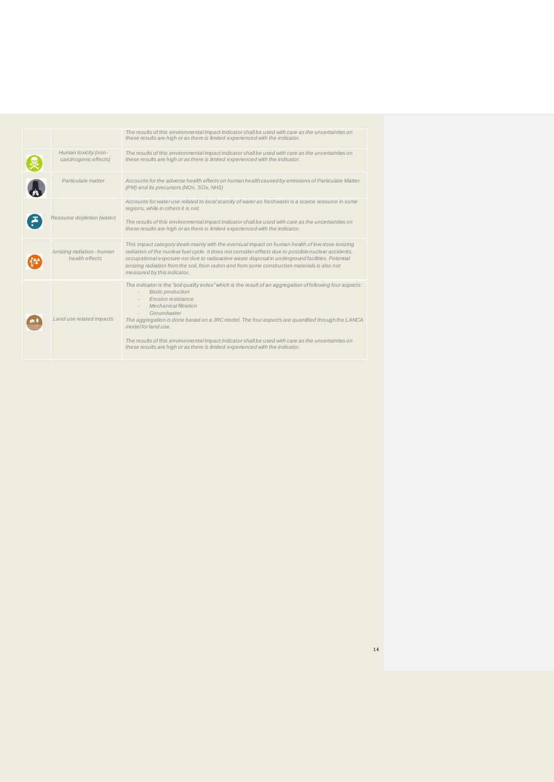|                                               | The results of this environmental impact indicator shall be used with care as the uncertainties on<br>these results are high or as there is limited experienced with the indicator.                                                                                                                                                                                                                                                                                                                                                               |
|-----------------------------------------------|---------------------------------------------------------------------------------------------------------------------------------------------------------------------------------------------------------------------------------------------------------------------------------------------------------------------------------------------------------------------------------------------------------------------------------------------------------------------------------------------------------------------------------------------------|
| Human toxicity (non-<br>carcinogenic effects) | The results of this environmental impact indicator shall be used with care as the uncertainties on<br>these results are high or as there is limited experienced with the indicator.                                                                                                                                                                                                                                                                                                                                                               |
| Particulate matter                            | Accounts for the adverse health effects on human health caused by emissions of Particulate Matter<br>(PM) and its precursors (NOx, SOx, NH3)                                                                                                                                                                                                                                                                                                                                                                                                      |
| Resource depletion (water)                    | Accounts for water use related to local scarcity of water as freshwater is a scarce resource in some<br>regions, while in others it is not.<br>The results of this environmental impact indicator shall be used with care as the uncertainties on<br>these results are high or as there is limited experienced with the indicator.                                                                                                                                                                                                                |
| Ionizing radiation - human<br>health effects  | This impact category deals mainly with the eventual impact on human health of low dose ionizing<br>radiation of the nuclear fuel cycle. It does not consider effects due to possible nuclear accidents,<br>occupational exposure nor due to radioactive waste disposal in underground facilities. Potential<br>ionizing radiation from the soil, from radon and from some construction materials is also not<br>measured by this indicator.                                                                                                       |
| Land use related impacts                      | The indicator is the "soil quality index" which is the result of an aggregation of following four aspects:<br><b>Biotic production</b><br>Erosion resistance<br>Mechanical filtration<br>$\overline{\phantom{a}}$<br>Groundwater<br>The aggregation is done based on a JRC model. The four aspects are quantified through the LANCA<br>model for land use.<br>The results of this environmental impact indicator shall be used with care as the uncertainties on<br>these results are high or as there is limited experienced with the indicator. |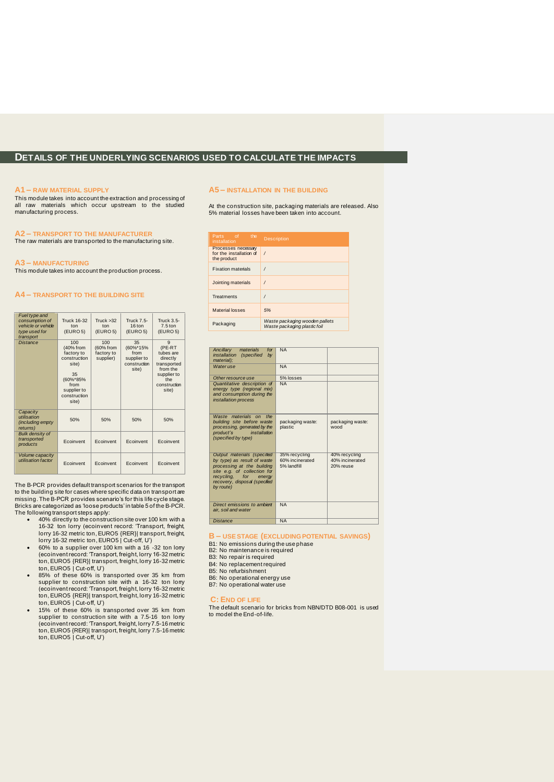### **DETAILS OF THE UNDERLYING SCENARIOS USED TO CALCULATE THE IMPACTS**

#### **A1 – RAW MATERIAL SUPPLY**

This module takes into account the extraction and processing of all raw materials which occur upstream to the studied manufacturing process.

#### **A2 – TRANSPORT TO THE MANUFACTURER**

The raw materials are transported to the manufacturing site.

#### **A3 – MANUFACTURING**

This module takes into account the production process.

#### **A4 – TRANSPORT TO THE BUILDING SITE**

| Fuel type and<br>consumption of<br>vehicle or vehicle<br>type used for<br>transport | <b>Truck 16-32</b><br>ton<br>(EURO 5)                                                                                     | Truck > 32<br>ton<br>(EURO <sub>5</sub> )   | <b>Truck 7.5-</b><br>16 ton<br>(EURO <sub>5</sub> )            | <b>Truck 3.5-</b><br>$7.5 \text{ ton}$<br>(EURO <sub>5</sub> )                                                 |
|-------------------------------------------------------------------------------------|---------------------------------------------------------------------------------------------------------------------------|---------------------------------------------|----------------------------------------------------------------|----------------------------------------------------------------------------------------------------------------|
| <b>Distance</b>                                                                     | 100<br>(40% from<br>factory to<br>construction<br>site)<br>35<br>(60%*85%<br>from<br>supplier to<br>construction<br>site) | 100<br>(60% from<br>factory to<br>supplier) | 35<br>(60%*15%<br>from<br>supplier to<br>construction<br>site) | 9<br>(PE-RT<br>tubes are<br>directly<br>transported<br>from the<br>supplier to<br>the<br>construction<br>site) |
| Capacity<br>utilisation<br>(including empty)<br>returns)                            | 50%                                                                                                                       | 50%                                         | 50%                                                            | 50%                                                                                                            |
| <b>Bulk density of</b><br>transported<br>products                                   | Ecoinvent                                                                                                                 | Ecoinvent                                   | Ecoinvent                                                      | Ecoinvent                                                                                                      |
| Volume capacity<br>utilisation factor                                               | Ecoinvent                                                                                                                 | Ecoinvent                                   | Ecoinvent                                                      | Ecoinvent                                                                                                      |

The B-PCR provides default transport scenarios for the transport to the building site for cases where specific data on transport are missing. The B-PCR provides scenario's for this life cycle stage. Bricks are categorized as 'loose products' in table 5 of the B-PCR. The following transport steps apply:

- 40% directly to the construction site over 100 km with a 16-32 ton lorry (ecoinvent record: 'Transport, freight, lorry 16-32 metric ton, EURO5 {RER}| transport, freight, lorry 16-32 metric ton, EURO5 | Cut-off, U')
- 60% to a supplier over 100 km with a 16 -32 ton lorry (ecoinvent record: 'Transport, freight, lorry 16-32 metric
- ton, EURO5 {RER}| transport, freight, lorry 16-32 metric ton, EURO5 | Cut-off, U') 85% of these 60% is transported over 35 km from supplier to construction site with a 16-32 ton lorry (ecoinvent record: 'Transport, freight, lorry 16-32 metric ton, EURO5 {RER}| transport, freight, lorry 16-32 metric ton, EURO5 | Cut-off, U') • 15% of these 60% is transported over 35 km from
- supplier to construction site with a 7.5-16 ton lorry<br>(ecoinvent record: 'Transport, freight, lorry 7.5-16 metric<br>ton, EURO5 {RER}| transport, freight, lorry 7.5-16 metric<br>ton, EURO5 | Cut-off, U')

#### **A5 – INSTALLATION IN THE BUILDING**

At the construction site, packaging materials are released. Also 5% material losses have been taken into account.

| Parts of the<br>installation                                  | <b>Description</b>                                             |
|---------------------------------------------------------------|----------------------------------------------------------------|
| Processes necessary<br>for the installation of<br>the product | $\prime$                                                       |
| <b>Fixation materials</b>                                     |                                                                |
| Jointing materials                                            | 1                                                              |
| <b>Treatments</b>                                             |                                                                |
| Material losses                                               | 5%                                                             |
| Packaging                                                     | Waste packaging wooden pallets<br>Waste packaging plastic foil |

| materials<br>Ancillarv<br>for<br>installation<br><i>(specified</i><br>b <b>v</b><br>material);                                                                                                    | <b>NA</b>                                       |                                               |
|---------------------------------------------------------------------------------------------------------------------------------------------------------------------------------------------------|-------------------------------------------------|-----------------------------------------------|
| Water use                                                                                                                                                                                         | <b>NA</b>                                       |                                               |
| Other resource use                                                                                                                                                                                | 5% losses                                       |                                               |
| Quantitative description of<br>energy type (regional mix)<br>and consumption during the<br><i>installation process</i>                                                                            | <b>NA</b>                                       |                                               |
| Waste materials on<br>the<br>building site before waste<br>processing, generated by the<br>product's<br>installation<br>(specified by type)                                                       | packaging waste:<br>plastic                     | packaging waste:<br>wood                      |
| Output materials (specified<br>by type) as result of waste<br>processing at the building<br>site e.g. of collection for<br>recycling, for<br>energy<br>recovery, disposal (specified<br>by route) | 35% recycling<br>60% incinerated<br>5% landfill | 40% recycling<br>40% incinerated<br>20% reuse |
| Direct emissions to ambient<br>air, soil and water                                                                                                                                                | <b>NA</b>                                       |                                               |
| <b>Distance</b>                                                                                                                                                                                   | <b>NA</b>                                       |                                               |

**B – USE STAGE (EXCLUDING POTENTIAL SAVINGS)**

B1: No emissions during the use phase B2: No maintenance is required

B3: No repair is required B4: No replacement required

B5: No refurbishment

- B6: No operational energy use
- B7: No operational water use

#### **C: END OF LIFE**

The default scenario for bricks from NBN/DTD B08-001 is used to model the End-of-life.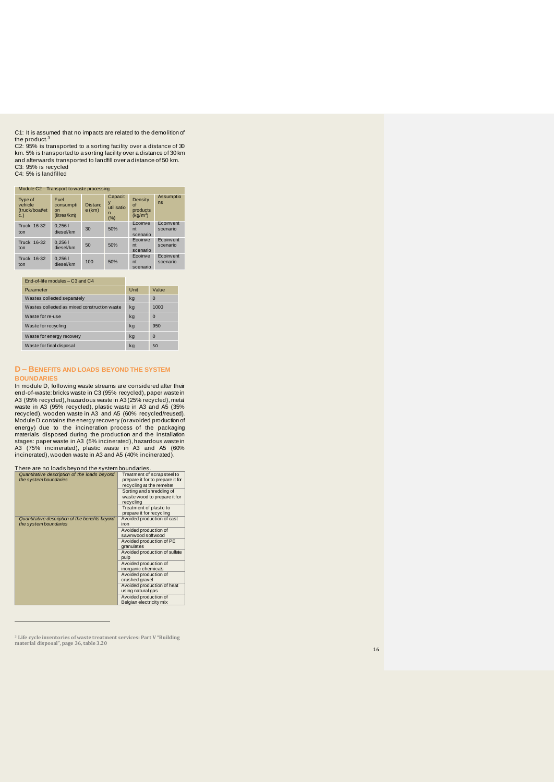C1: It is assumed that no impacts are related to the demolition of<br>the product.<sup>3</sup>

C2: 95% is transported to a sorting facility over a distance of 30 km. 5% is transported to a sorting facility over a distance of 30 km<br>and afterwards transported to landfill over a distance of 50 km.<br>C3: 95% is recycled<br>C4: 5% is landfilled

| Module C2 - Transport to waste processing         |                                                    |                            |                                        |                                                                |                       |  |  |  |
|---------------------------------------------------|----------------------------------------------------|----------------------------|----------------------------------------|----------------------------------------------------------------|-----------------------|--|--|--|
| <b>Type of</b><br>vehicle<br>(truck/boat/et<br>C. | Fuel<br>consumpti<br>n <sub>n</sub><br>(litres/km) | <b>Distanc</b><br>$e$ (km) | Capacit<br>V<br>utilisatio<br>n<br>(%) | <b>Density</b><br>$\Omega$<br>products<br>(kq/m <sup>3</sup> ) | Assumptio<br>ns       |  |  |  |
| Truck 16-32<br>ton                                | 0.2561<br>diesel/km                                | 30                         | 50%                                    | Ecoinve<br>nt<br>scenario                                      | Ecoinvent<br>scenario |  |  |  |
| Truck 16-32<br>ton                                | 0.2561<br>diesel/km                                | 50                         | 50%                                    | Ecoinve<br>nt<br>scenario                                      | Ecoinvent<br>scenario |  |  |  |
| Truck 16-32<br>ton                                | 0.2561<br>diesel/km                                | 100                        | 50%                                    | Ecoinve<br>nt<br>scenario                                      | Ecoinvent<br>scenario |  |  |  |

#### End -of -life modules – C3 and C4 Parameter **National Community Community** Unit Value

| Wastes collected separately                  | kg | $\Omega$ |
|----------------------------------------------|----|----------|
| Wastes collected as mixed construction waste | kg | 1000     |
| Waste for re-use                             | kg | $\Omega$ |
| Waste for recycling                          | kg | 950      |
| Waste for energy recovery                    | kg | $\Omega$ |
| Waste for final disposal                     | ka | 50       |

#### **D – BENEFITS AND LOADS BEYOND THE SYSTEM BOUNDARIES**

In module D, following waste streams are considered after their end-of-waste: bricks waste in C3 (95% recycled), paper waste in<br>A3 (95% recycled), hazardous waste in A3 (25% recycled), metal<br>waste in A3 (95% recycled), plastic waste in A3 (35%<br>recycled), wooden waste in A3 and A5 (60% materials disposed during the production and the installation<br>stages: paper waste in A3 (5% incinerated), hazardous waste in<br>A3 (75% incinerated), plastic waste in A3 and A5 (60%<br>incinerated), wooden waste in A3 and A5 (40

| There are no loads beyond the system boundaries.                         |                                                                                             |  |  |  |  |  |  |
|--------------------------------------------------------------------------|---------------------------------------------------------------------------------------------|--|--|--|--|--|--|
| Quantitative description of the loads beyond<br>the system boundaries    | Treatment of scrapsteel to<br>prepare it for to prepare it for<br>recycling at the remelter |  |  |  |  |  |  |
|                                                                          | Sorting and shredding of<br>waste wood to prepare it for<br>recycling                       |  |  |  |  |  |  |
|                                                                          | Treatment of plastic to<br>prepare it for recycling                                         |  |  |  |  |  |  |
| Quantitative description of the benefits beyond<br>the system boundaries | Avoided production of cast<br>iron                                                          |  |  |  |  |  |  |
|                                                                          | Avoided production of<br>sawnwood softwood                                                  |  |  |  |  |  |  |
|                                                                          | Avoided production of PE<br>granulates                                                      |  |  |  |  |  |  |
|                                                                          | Avoided production of sulfate<br>pulp                                                       |  |  |  |  |  |  |
|                                                                          | Avoided production of<br>inorganic chemicals                                                |  |  |  |  |  |  |
|                                                                          | Avoided production of<br>crushed gravel                                                     |  |  |  |  |  |  |
|                                                                          | Avoided production of heat<br>using natural gas                                             |  |  |  |  |  |  |
|                                                                          | Avoided production of<br>Belgian electricity mix                                            |  |  |  |  |  |  |

**<sup>3</sup> Life cycle inventories of waste treatment services: Part V "Building material disposal", page 36, table 3.20**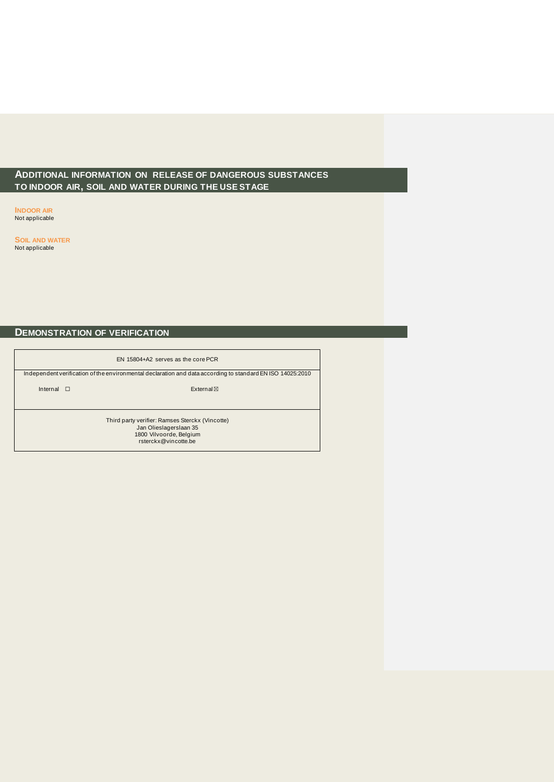### **ADDITIONAL INFORMATION ON RELEASE OF DANGEROUS SUBSTANCES TO INDOOR AIR, SOIL AND WATER DURING THE USE STAGE**

**INDOOR AIR** Not applicable

**SOIL AND WATER** Not applicable

### **DEMONSTRATION OF VERIFICATION**

| EN 15804+A2 serves as the core PCR |                                                                                                                              |  |  |  |  |  |  |  |
|------------------------------------|------------------------------------------------------------------------------------------------------------------------------|--|--|--|--|--|--|--|
|                                    | Independent verification of the environmental declaration and data according to standard EN ISO 14025:2010                   |  |  |  |  |  |  |  |
|                                    | Internal $\Box$<br>External $\boxtimes$                                                                                      |  |  |  |  |  |  |  |
|                                    | Third party verifier: Ramses Sterckx (Vincotte)<br>Jan Olieslagerslaan 35<br>1800 Vilvoorde, Belgium<br>rsterckx@vincotte.be |  |  |  |  |  |  |  |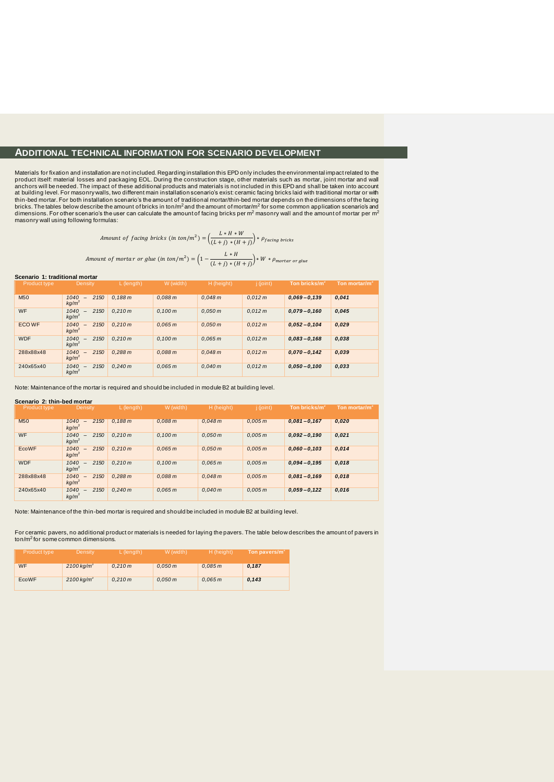### **ADDITIONAL TECHNICAL INFORMATION FOR SCENARIO DEVELOPMENT**

Materials for fixation and installation are not included. Regarding installation this EPD only includes the environmental impact related to the product itself: material losses and packaging EOL. During the construction stage, other materials such as mortar, joint mortar and wall anchors will be needed. The impact of these additional products and materials is not included in this EPD and shall be taken into account<br>at building level. For masonrywalls, two different main installation scenario's exis thin-bed mortar. For both installation scenario's the amount of traditional mortar/thin-bed mortar depends on the dimensions of the facing<br>bricks. The tables below describe the amount of bricks in ton/m<sup>2</sup> and the amount o dimensions. For other scenario's the user can calculate the amount of facing bricks per m<sup>2</sup> masonry wall and the amount of mortar per m<sup>2</sup> masonry wall using following formulas:

Amount of facing bricks (in ton/m<sup>2</sup>) = 
$$
\left(\frac{L*H*W}{(L+j)*(H+j)}\right)*\rho_{facing~bricks}
$$

Amount of motortar or glue (in ton/m<sup>2</sup>) = 
$$
\left(1 - \frac{L*H}{(L+j)*(H+j)}\right) * W * \rho_{mortar \ or \ glue}
$$

#### **Scenario 1: traditional mortar**

| Product type    | Density                              | L (length) | W (width) | H (height) | j (joint) | Ton bricks/m <sup>2</sup> | Ton mortar/m <sup>2</sup> |
|-----------------|--------------------------------------|------------|-----------|------------|-----------|---------------------------|---------------------------|
| M <sub>50</sub> | 2150<br>1040<br>kg/m <sup>3</sup>    | 0.188 m    | 0.088 m   | 0.048 m    | 0.012 m   | $0.069 - 0.139$           | 0,041                     |
| WF              | 1040<br>2 1 5 0<br>kg/m <sup>3</sup> | 0.210 m    | 0.100 m   | 0.050 m    | 0.012 m   | $0.079 - 0.160$           | 0,045                     |
| <b>ECOWF</b>    | 1040<br>2 1 5 0<br>kg/m <sup>3</sup> | 0.210 m    | 0.065 m   | 0.050 m    | 0.012 m   | $0.052 - 0.104$           | 0,029                     |
| <b>WDF</b>      | 2 1 5 0<br>1040<br>kg/m <sup>3</sup> | 0.210 m    | 0.100 m   | 0.065 m    | 0.012 m   | $0.083 - 0.168$           | 0,038                     |
| 288x88x48       | 1040<br>2 1 5 0<br>kg/m <sup>3</sup> | 0.288 m    | 0.088 m   | 0.048 m    | 0.012 m   | $0.070 - 0.142$           | 0,039                     |
| 240x65x40       | 2 1 5 0<br>1040<br>kq/m <sup>3</sup> | 0.240 m    | 0.065 m   | 0.040 m    | 0.012 m   | $0.050 - 0.100$           | 0,033                     |

Note: Maintenance of the mortar is required and should be included in module B2 at building level.

#### **Scenario 2: thin-bed mortar**

| <b>Product type</b> | Density                              | $L$ (length) | W (width) | H (height) | 1 (joint) | Ton bricks/m    | Ton mortar/m |
|---------------------|--------------------------------------|--------------|-----------|------------|-----------|-----------------|--------------|
| <b>M50</b>          | 1040<br>2 1 5 0<br>kg/m <sup>3</sup> | 0.188 m      | 0.088 m   | 0.048 m    | 0.005 m   | $0,081 - 0,167$ | 0,020        |
| <b>WF</b>           | 1040<br>2150<br>$kq/m^3$             | 0.210 m      | 0.100 m   | 0.050 m    | 0.005 m   | $0.092 - 0.190$ | 0,021        |
| EcoWF               | 2 1 5 0<br>1040<br>kg/m <sup>3</sup> | 0.210 m      | 0.065 m   | 0.050 m    | 0.005 m   | $0.060 - 0.103$ | 0,014        |
| <b>WDF</b>          | 1040<br>2 150<br>kg/m <sup>3</sup>   | 0.210 m      | 0.100 m   | 0.065 m    | 0.005 m   | $0.094 - 0.195$ | 0,018        |
| 288x88x48           | 1040<br>2 1 5 0<br>kg/m <sup>3</sup> | 0.288 m      | 0.088 m   | 0.048 m    | 0.005 m   | $0.081 - 0.169$ | 0,018        |
| 240x65x40           | 2 1 5 0<br>1040<br>$kq/m^3$          | 0.240 m      | 0.065 m   | 0.040 m    | 0.005 m   | $0,059 - 0,122$ | 0,016        |

Note: Maintenance of the thin-bed mortar is required and should be included in module B2 at building level.

For ceramic pavers, no additional product or materials is needed for laying the pavers. The table below describes the amount of pavers in ton/m<sup>2</sup> for some common dimensions.

| Product type | Density                  | L (length) | W (width) | H (height) | ⊦ Ton pavers/m <sup>≁</sup> |
|--------------|--------------------------|------------|-----------|------------|-----------------------------|
| <b>WF</b>    | $2100 \,\mathrm{kg/m}^3$ | 0.210 m    | 0.050 m   | 0.085 m    | 0.187                       |
| EcoWF        | $2100$ kg/m <sup>3</sup> | 0.210 m    | 0.050 m   | 0.065 m    | 0.143                       |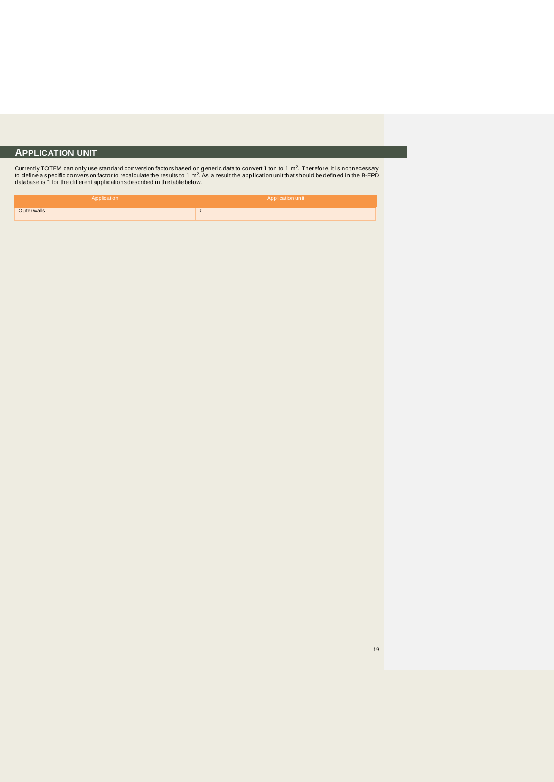### **APPLICATION UNIT**

Currently TOTEM can only use standard conversion factors based on generic data to convert 1 ton to 1 m<sup>2</sup>. Therefore, it is not necessary<br>to define a specific conversionfactor to recalculate the results to 1 m<sup>2</sup>. As a res

| Application        | Application unit |
|--------------------|------------------|
| <b>Outer walls</b> |                  |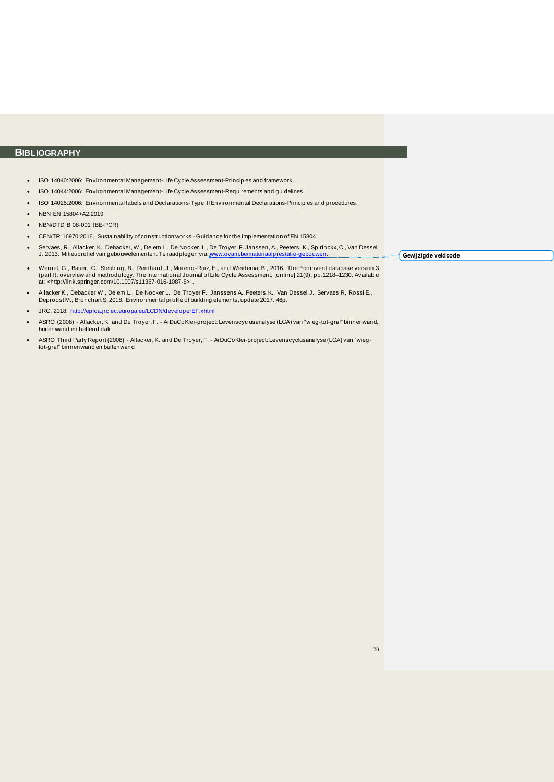### **BIBLIOGRAPHY**

- ISO 14040:2006: Environmental Management-Life Cycle Assessment-Principles and framework.
- ISO 14044:2006: Environmental Management-Life Cycle Assessment-Requirements and guidelines.
- ISO 14025:2006: Environmental labels and Declarations-Type III Environmental Declarations-Principles and procedures.
- NBN EN 15804+A2:2019
- NBN/DTD B 08-001 (BE-PCR)
- CEN/TR 16970:2016. Sustainability of construction works Guidance for the implementation of EN 15804
- Servaes, R., Allacker, K., Debacker, W., Delem L., De Nocker, L., De Troyer, F. Janssen, A., Peeters, K., Spirinckx, C., Van Dessel, J. 2013. Milieuprofiel van gebouwelementen. Te raadplegen via[: www.ovam.be/materiaalprestatie-gebouwen](http://www.ovam.be/materiaalprestatie-gebouwen).
- Wernet, G., Bauer, C., Steubing, B., Reinhard, J., Moreno -Ruiz, E., and Weidema, B., 2016. The Ecoinvent database version 3 (part I): overview and methodology. The International Journal of Life Cycle Assessment, [online] 21(9), pp.1218–1230. Available<br>at: <http://link.springer.com/10.1007/s11367-016-1087-8> .
- Allacker K., Debacker W., Delem L., De Nocker L., De Troyer F., Janssens A., Peeters K., Van Dessel J., Servaes R, Rossi E., Deproost M., Bronchart S. 2018. Environmental profile of building elements, update 2017. 46p.
- JRC. 2018. <http://eplca.jrc.ec.europa.eu/LCDN/developerEF.xhtml>
- ASRO (2008) Allacker, K. and De Troyer, F. ArDuCoKlei-project: Levenscyclusanalyse (LCA) van "wieg-tot-graf" binnenwand, buitenwand en hellend dak
- ASRO Third Party Report (2008) Allacker, K. and De Troyer, F. ArDuCoKlei-project: Levenscyclusanalyse (LCA) van "wieg-tot-graf" binnenwand en buitenwand

**Gewijzigde veldcode**